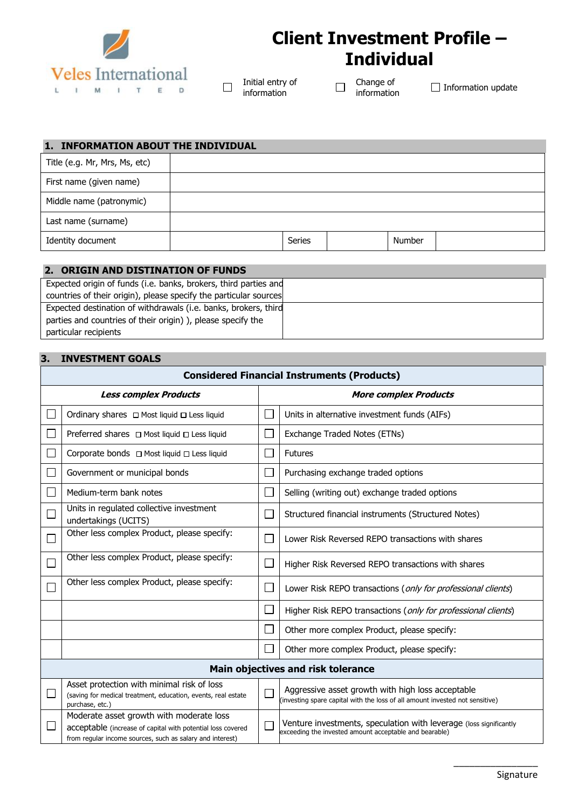

# **Client Investment Profile – Individual**

Initial entry of information

 $\Box$ 

Change of<br>information  $\Box$ 

 $\Box$  Information update

### **1. INFORMATION ABOUT THE INDIVIDUAL**

| Title (e.g. Mr, Mrs, Ms, etc) |               |               |  |
|-------------------------------|---------------|---------------|--|
| First name (given name)       |               |               |  |
| Middle name (patronymic)      |               |               |  |
| Last name (surname)           |               |               |  |
| Identity document             | <b>Series</b> | <b>Number</b> |  |

## **2. ORIGIN AND DISTINATION OF FUNDS**

Expected origin of funds (i.e. banks, brokers, third parties and countries of their origin), please specify the particular sources Expected destination of withdrawals (i.e. banks, brokers, third parties and countries of their origin) ), please specify the particular recipients

#### **3. INVESTMENT GOALS**

| <b>Considered Financial Instruments (Products)</b> |                                                                                                                                                                      |                              |                                                                                                                                   |  |
|----------------------------------------------------|----------------------------------------------------------------------------------------------------------------------------------------------------------------------|------------------------------|-----------------------------------------------------------------------------------------------------------------------------------|--|
|                                                    | <b>Less complex Products</b>                                                                                                                                         | <b>More complex Products</b> |                                                                                                                                   |  |
|                                                    | Ordinary shares □ Most liquid □ Less liquid                                                                                                                          | $\mathcal{L}_{\mathcal{A}}$  | Units in alternative investment funds (AIFs)                                                                                      |  |
|                                                    | Preferred shares $\Box$ Most liquid $\Box$ Less liquid                                                                                                               | $\Box$                       | Exchange Traded Notes (ETNs)                                                                                                      |  |
|                                                    | Corporate bonds □ Most liquid □ Less liquid                                                                                                                          | $\Box$                       | <b>Futures</b>                                                                                                                    |  |
|                                                    | Government or municipal bonds                                                                                                                                        | $\Box$                       | Purchasing exchange traded options                                                                                                |  |
|                                                    | Medium-term bank notes                                                                                                                                               | $\Box$                       | Selling (writing out) exchange traded options                                                                                     |  |
|                                                    | Units in regulated collective investment<br>undertakings (UCITS)                                                                                                     | $\Box$                       | Structured financial instruments (Structured Notes)                                                                               |  |
|                                                    | Other less complex Product, please specify:                                                                                                                          | $\Box$                       | Lower Risk Reversed REPO transactions with shares                                                                                 |  |
|                                                    | Other less complex Product, please specify:                                                                                                                          | $\Box$                       | Higher Risk Reversed REPO transactions with shares                                                                                |  |
|                                                    | Other less complex Product, please specify:                                                                                                                          | $\Box$                       | Lower Risk REPO transactions (only for professional clients)                                                                      |  |
|                                                    |                                                                                                                                                                      | $\Box$                       | Higher Risk REPO transactions (only for professional clients)                                                                     |  |
|                                                    |                                                                                                                                                                      | $\Box$                       | Other more complex Product, please specify:                                                                                       |  |
|                                                    |                                                                                                                                                                      | 囗                            | Other more complex Product, please specify:                                                                                       |  |
| Main objectives and risk tolerance                 |                                                                                                                                                                      |                              |                                                                                                                                   |  |
|                                                    | Asset protection with minimal risk of loss<br>(saving for medical treatment, education, events, real estate<br>purchase, etc.)                                       | Ξ                            | Aggressive asset growth with high loss acceptable<br>(investing spare capital with the loss of all amount invested not sensitive) |  |
|                                                    | Moderate asset growth with moderate loss<br>acceptable (increase of capital with potential loss covered<br>from regular income sources, such as salary and interest) |                              | Venture investments, speculation with leverage (loss significantly<br>exceeding the invested amount acceptable and bearable)      |  |

 $\overline{\phantom{a}}$  ,  $\overline{\phantom{a}}$  ,  $\overline{\phantom{a}}$  ,  $\overline{\phantom{a}}$  ,  $\overline{\phantom{a}}$  ,  $\overline{\phantom{a}}$  ,  $\overline{\phantom{a}}$  ,  $\overline{\phantom{a}}$  ,  $\overline{\phantom{a}}$  ,  $\overline{\phantom{a}}$  ,  $\overline{\phantom{a}}$  ,  $\overline{\phantom{a}}$  ,  $\overline{\phantom{a}}$  ,  $\overline{\phantom{a}}$  ,  $\overline{\phantom{a}}$  ,  $\overline{\phantom{a}}$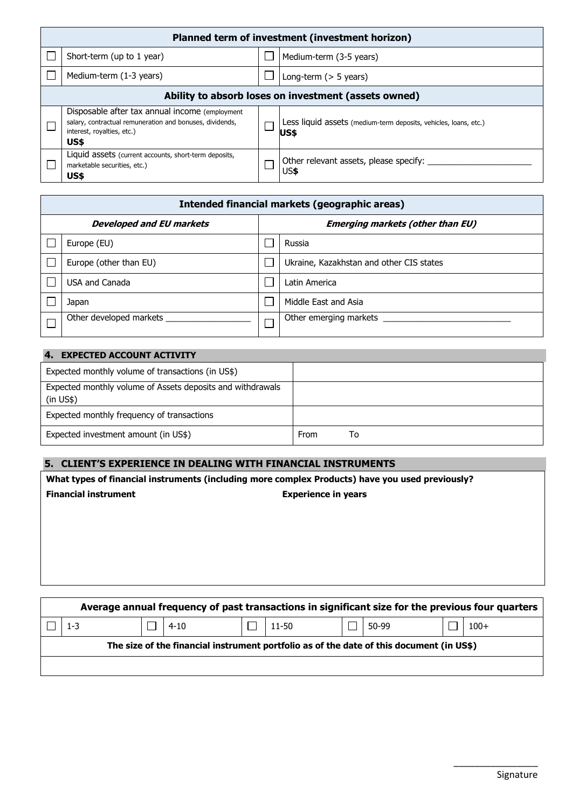| Planned term of investment (investment horizon)                                                                                                   |  |                                                                           |  |  |  |
|---------------------------------------------------------------------------------------------------------------------------------------------------|--|---------------------------------------------------------------------------|--|--|--|
| Short-term (up to 1 year)                                                                                                                         |  | Medium-term (3-5 years)                                                   |  |  |  |
| Medium-term (1-3 years)                                                                                                                           |  | Long-term $(> 5$ years)                                                   |  |  |  |
| Ability to absorb loses on investment (assets owned)                                                                                              |  |                                                                           |  |  |  |
| Disposable after tax annual income (employment)<br>salary, contractual remuneration and bonuses, dividends,<br>interest, royalties, etc.)<br>US\$ |  | Less liquid assets (medium-term deposits, vehicles, loans, etc.)<br>lUS\$ |  |  |  |
| Liquid assets (current accounts, short-term deposits,<br>marketable securities, etc.)<br>US\$                                                     |  | Other relevant assets, please specify:<br>US\$                            |  |  |  |

| Intended financial markets (geographic areas) |                                         |                                          |  |  |
|-----------------------------------------------|-----------------------------------------|------------------------------------------|--|--|
| <b>Developed and EU markets</b>               | <b>Emerging markets (other than EU)</b> |                                          |  |  |
| Europe (EU)                                   |                                         | Russia                                   |  |  |
| Europe (other than EU)                        |                                         | Ukraine, Kazakhstan and other CIS states |  |  |
| USA and Canada                                |                                         | Latin America                            |  |  |
| Japan                                         |                                         | Middle East and Asia                     |  |  |
| Other developed markets                       |                                         | Other emerging markets                   |  |  |

| <b>EXPECTED ACCOUNT ACTIVITY</b><br>4.                                     |      |    |
|----------------------------------------------------------------------------|------|----|
| Expected monthly volume of transactions (in US\$)                          |      |    |
| Expected monthly volume of Assets deposits and withdrawals<br>$(in \; US\$ |      |    |
| Expected monthly frequency of transactions                                 |      |    |
| Expected investment amount (in US\$)                                       | From | Т٥ |

# **5. CLIENT'S EXPERIENCE IN DEALING WITH FINANCIAL INSTRUMENTS**

|                                                                                                  | What types of financial instruments (including more complex Products) have you used previously? |  |          |  |           |                            |       |  |        |  |
|--------------------------------------------------------------------------------------------------|-------------------------------------------------------------------------------------------------|--|----------|--|-----------|----------------------------|-------|--|--------|--|
|                                                                                                  | <b>Financial instrument</b>                                                                     |  |          |  |           | <b>Experience in years</b> |       |  |        |  |
|                                                                                                  |                                                                                                 |  |          |  |           |                            |       |  |        |  |
|                                                                                                  |                                                                                                 |  |          |  |           |                            |       |  |        |  |
|                                                                                                  |                                                                                                 |  |          |  |           |                            |       |  |        |  |
|                                                                                                  |                                                                                                 |  |          |  |           |                            |       |  |        |  |
|                                                                                                  |                                                                                                 |  |          |  |           |                            |       |  |        |  |
|                                                                                                  |                                                                                                 |  |          |  |           |                            |       |  |        |  |
| Average annual frequency of past transactions in significant size for the previous four quarters |                                                                                                 |  |          |  |           |                            |       |  |        |  |
|                                                                                                  | $1 - 3$                                                                                         |  | $4 - 10$ |  | $11 - 50$ |                            | 50-99 |  | $100+$ |  |
| The size of the financial instrument portfolio as of the date of this document (in US\$)         |                                                                                                 |  |          |  |           |                            |       |  |        |  |

 $\overline{\phantom{a}}$  ,  $\overline{\phantom{a}}$  ,  $\overline{\phantom{a}}$  ,  $\overline{\phantom{a}}$  ,  $\overline{\phantom{a}}$  ,  $\overline{\phantom{a}}$  ,  $\overline{\phantom{a}}$  ,  $\overline{\phantom{a}}$  ,  $\overline{\phantom{a}}$  ,  $\overline{\phantom{a}}$  ,  $\overline{\phantom{a}}$  ,  $\overline{\phantom{a}}$  ,  $\overline{\phantom{a}}$  ,  $\overline{\phantom{a}}$  ,  $\overline{\phantom{a}}$  ,  $\overline{\phantom{a}}$